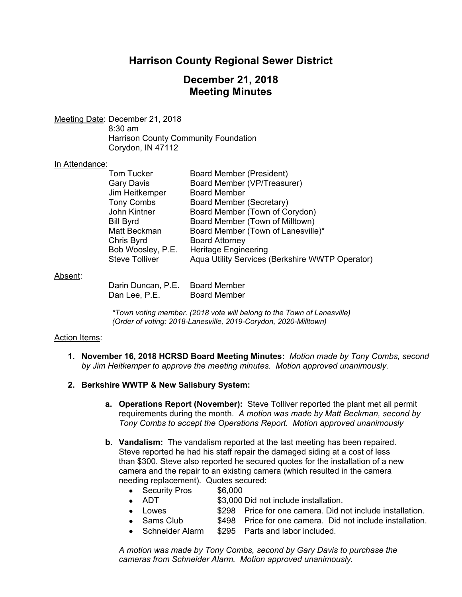# **Harrison County Regional Sewer District**

## **December 21, 2018 Meeting Minutes**

Meeting Date: December 21, 2018 8:30 am Harrison County Community Foundation Corydon, IN 47112

#### In Attendance:

| <b>Tom Tucker</b>     | <b>Board Member (President)</b>                 |
|-----------------------|-------------------------------------------------|
| Gary Davis            | Board Member (VP/Treasurer)                     |
| Jim Heitkemper        | <b>Board Member</b>                             |
| <b>Tony Combs</b>     | Board Member (Secretary)                        |
| John Kintner          | Board Member (Town of Corydon)                  |
| <b>Bill Byrd</b>      | Board Member (Town of Milltown)                 |
| Matt Beckman          | Board Member (Town of Lanesville)*              |
| Chris Byrd            | <b>Board Attorney</b>                           |
| Bob Woosley, P.E.     | <b>Heritage Engineering</b>                     |
| <b>Steve Tolliver</b> | Aqua Utility Services (Berkshire WWTP Operator) |
|                       |                                                 |

#### Absent:

| Darin Duncan, P.E. | <b>Board Member</b> |
|--------------------|---------------------|
| Dan Lee, P.E.      | <b>Board Member</b> |

*\*Town voting member. (2018 vote will belong to the Town of Lanesville) (Order of voting: 2018-Lanesville, 2019-Corydon, 2020-Milltown)* 

#### Action Items:

**1. November 16, 2018 HCRSD Board Meeting Minutes:** *Motion made by Tony Combs, second by Jim Heitkemper to approve the meeting minutes. Motion approved unanimously.*

#### **2. Berkshire WWTP & New Salisbury System:**

- **a. Operations Report (November):** Steve Tolliver reported the plant met all permit requirements during the month. *A motion was made by Matt Beckman, second by Tony Combs to accept the Operations Report. Motion approved unanimously*
- **b. Vandalism:** The vandalism reported at the last meeting has been repaired. Steve reported he had his staff repair the damaged siding at a cost of less than \$300. Steve also reported he secured quotes for the installation of a new camera and the repair to an existing camera (which resulted in the camera needing replacement). Quotes secured:
	- Security Pros \$6,000
	- ADT \$3,000 Did not include installation.
	- Lowes \$298 Price for one camera. Did not include installation.
	- Sams Club  $$498$  Price for one camera. Did not include installation.
		- Schneider Alarm \$295 Parts and labor included.

*A motion was made by Tony Combs, second by Gary Davis to purchase the cameras from Schneider Alarm. Motion approved unanimously.*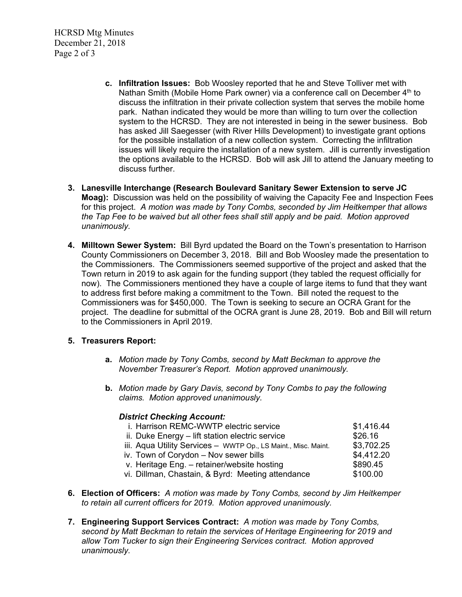HCRSD Mtg Minutes December 21, 2018 Page 2 of 3

- **c. Infiltration Issues:** Bob Woosley reported that he and Steve Tolliver met with Nathan Smith (Mobile Home Park owner) via a conference call on December 4<sup>th</sup> to discuss the infiltration in their private collection system that serves the mobile home park. Nathan indicated they would be more than willing to turn over the collection system to the HCRSD. They are not interested in being in the sewer business. Bob has asked Jill Saegesser (with River Hills Development) to investigate grant options for the possible installation of a new collection system. Correcting the infiltration issues will likely require the installation of a new system. Jill is currently investigation the options available to the HCRSD. Bob will ask Jill to attend the January meeting to discuss further.
- **3. Lanesville Interchange (Research Boulevard Sanitary Sewer Extension to serve JC Moag):** Discussion was held on the possibility of waiving the Capacity Fee and Inspection Fees for this project. *A motion was made by Tony Combs, seconded by Jim Heitkemper that allows the Tap Fee to be waived but all other fees shall still apply and be paid. Motion approved unanimously.*
- **4. Milltown Sewer System:** Bill Byrd updated the Board on the Town's presentation to Harrison County Commissioners on December 3, 2018. Bill and Bob Woosley made the presentation to the Commissioners. The Commissioners seemed supportive of the project and asked that the Town return in 2019 to ask again for the funding support (they tabled the request officially for now). The Commissioners mentioned they have a couple of large items to fund that they want to address first before making a commitment to the Town. Bill noted the request to the Commissioners was for \$450,000. The Town is seeking to secure an OCRA Grant for the project. The deadline for submittal of the OCRA grant is June 28, 2019. Bob and Bill will return to the Commissioners in April 2019.

### **5. Treasurers Report:**

- **a.** *Motion made by Tony Combs, second by Matt Beckman to approve the November Treasurer's Report. Motion approved unanimously.*
- **b.** *Motion made by Gary Davis, second by Tony Combs to pay the following claims. Motion approved unanimously.*

### *District Checking Account:*

| i. Harrison REMC-WWTP electric service                         | \$1,416.44 |
|----------------------------------------------------------------|------------|
| ii. Duke Energy - lift station electric service                | \$26.16    |
| iii. Aqua Utility Services - WWTP Op., LS Maint., Misc. Maint. | \$3,702.25 |
| iv. Town of Corydon - Nov sewer bills                          | \$4,412.20 |
| v. Heritage Eng. - retainer/website hosting                    | \$890.45   |
| vi. Dillman, Chastain, & Byrd: Meeting attendance              | \$100.00   |

- **6. Election of Officers:** *A motion was made by Tony Combs, second by Jim Heitkemper to retain all current officers for 2019. Motion approved unanimously.*
- **7. Engineering Support Services Contract:** *A motion was made by Tony Combs, second by Matt Beckman to retain the services of Heritage Engineering for 2019 and allow Tom Tucker to sign their Engineering Services contract. Motion approved unanimously.*